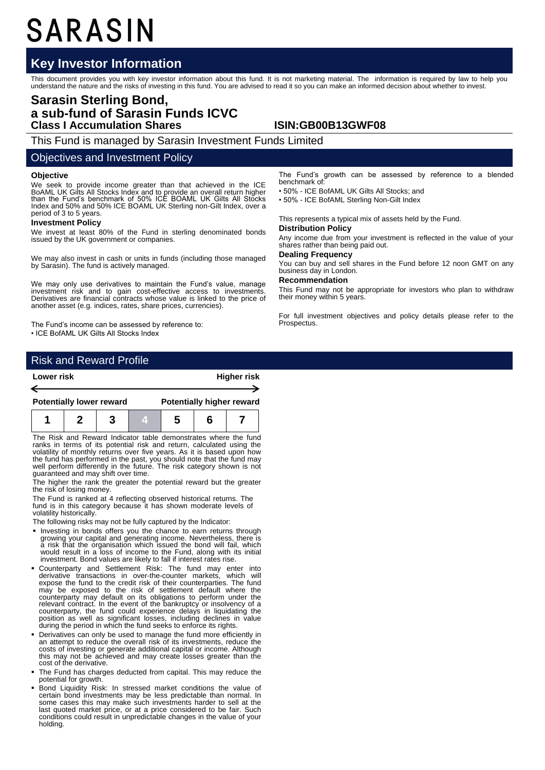# SARASIN

## **Key Investor Information**

This document provides you with key investor information about this fund. It is not marketing material. The information is required by law to help you<br>understand the nature and the risks of investing in this fund. You are

## **Sarasin Sterling Bond, a sub-fund of Sarasin Funds ICVC Class I Accumulation Shares ISIN:GB00B13GWF08**

This Fund is managed by Sarasin Investment Funds Limited

#### Objectives and Investment Policy

#### **Objective**

We seek to provide income greater than that achieved in the ICE BoAML UK Gilts All Stocks Index and to provide an overall return higher than the Fund's benchmark of 50% ICE BOAML UK Gilts All Stocks Index and 50% and 50% ICE BOAML UK Sterling non-Gilt Index, over a period of 3 to 5 years.

#### **Investment Policy**

We invest at least 80% of the Fund in sterling denominated bonds issued by the UK government or companies.

We may also invest in cash or units in funds (including those managed by Sarasin). The fund is actively managed.

We may only use derivatives to maintain the Fund's value, manage investment risk and to gain cost-effective access to investments. Derivatives are financial contracts whose value is linked to the price of another asset (e.g. indices, rates, share prices, currencies).

The Fund's income can be assessed by reference to: • ICE BofAML UK Gilts All Stocks Index

The Fund's growth can be assessed by reference to a blended benchmark of:

• 50% - ICE BofAML UK Gilts All Stocks; and

• 50% - ICE BofAML Sterling Non-Gilt Index

This represents a typical mix of assets held by the Fund.

#### **Distribution Policy**

Any income due from your investment is reflected in the value of your shares rather than being paid out.

## **Dealing Frequency**

You can buy and sell shares in the Fund before 12 noon GMT on any business day in London.

#### **Recommendation**

This Fund may not be appropriate for investors who plan to withdraw their money within 5 years.

For full investment objectives and policy details please refer to the Prospectus.

### Risk and Reward Profile

| Lower risk |                                 |  |  | <b>Higher risk</b>               |  |  |  |  |
|------------|---------------------------------|--|--|----------------------------------|--|--|--|--|
|            |                                 |  |  |                                  |  |  |  |  |
|            |                                 |  |  |                                  |  |  |  |  |
|            | <b>Potentially lower reward</b> |  |  | <b>Potentially higher reward</b> |  |  |  |  |
|            |                                 |  |  |                                  |  |  |  |  |

The Risk and Reward Indicator table demonstrates where the fund ranks in terms of its potential risk and return, calculated using the volatility of monthly returns over five years. As it is based upon how the fund has performed in the past, you should note that the fund may well perform differently in the future. The risk category shown is not guaranteed and may shift over time.

The higher the rank the greater the potential reward but the greater the risk of losing money.

The Fund is ranked at 4 reflecting observed historical returns. The fund is in this category because it has shown moderate levels of volatility historically.

The following risks may not be fully captured by the Indicator:

- **Investing in bonds offers you the chance to earn returns through** growing your capital and generating income. Nevertheless, there is a risk that the organisation which issued the bond will fail, which would result in a loss of income to the Fund, along with its initial investment. Bond values are likely to fall if interest rates rise.
- Counterparty and Settlement Risk: The fund may enter into derivative transactions in over-the-counter markets, which will expose the fund to the credit risk of their counterparties. The fund may be exposed to the risk o relevant contract. In the event of the bankruptcy or insolvency of a counterparty, the fund could experience delays in liquidating the position as well as significant losses, including declines in value during the period in which the fund seeks to enforce its rights.
- Derivatives can only be used to manage the fund more efficiently in an attempt to reduce the overall risk of its investments, reduce the costs of investing or generate additional capital or income. Although this may not be achieved and may create losses greater than the cost of the derivative.
- The Fund has charges deducted from capital. This may reduce the potential for growth.
- Bond Liquidity Risk: In stressed market conditions the value of certain bond investments may be less predictable than normal. In some cases this may make such investments harder to sell at the last quoted market price, or at a price considered to be fair. Such conditions could result in unpredictable changes in the value of your holding.